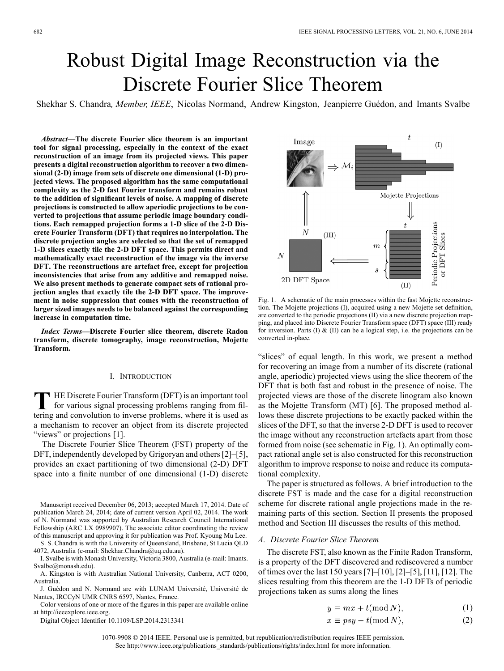# Robust Digital Image Reconstruction via the Discrete Fourier Slice Theorem

Shekhar S. Chandra*, Member, IEEE*, Nicolas Normand, Andrew Kingston, Jeanpierre Guédon, and Imants Svalbe

*Abstract—***The discrete Fourier slice theorem is an important tool for signal processing, especially in the context of the exact reconstruction of an image from its projected views. This paper presents a digital reconstruction algorithm to recover a two dimensional (2-D) image from sets of discrete one dimensional (1-D) projected views. The proposed algorithm has the same computational complexity as the 2-D fast Fourier transform and remains robust to the addition of significant levels of noise. A mapping of discrete projections is constructed to allow aperiodic projections to be converted to projections that assume periodic image boundary conditions. Each remapped projection forms a 1-D slice of the 2-D Discrete Fourier Transform (DFT) that requires no interpolation. The discrete projection angles are selected so that the set of remapped 1-D slices exactly tile the 2-D DFT space. This permits direct and mathematically exact reconstruction of the image via the inverse DFT. The reconstructions are artefact free, except for projection inconsistencies that arise from any additive and remapped noise. We also present methods to generate compact sets of rational projection angles that exactly tile the 2-D DFT space. The improvement in noise suppression that comes with the reconstruction of larger sized images needs to be balanced against the corresponding increase in computation time.**

*Index Terms—***Discrete Fourier slice theorem, discrete Radon transform, discrete tomography, image reconstruction, Mojette Transform.**

## I. INTRODUCTION

**T** HE Discrete Fourier Transform (DFT) is an important tool for various signal processing problems ranging from filtering and convolution to inverse problems, where it is used as a mechanism to recover an object from its discrete projected "views" or projections [1].

The Discrete Fourier Slice Theorem (FST) property of the DFT, independently developed by Grigoryan and others [2]–[5], provides an exact partitioning of two dimensional (2-D) DFT space into a finite number of one dimensional (1-D) discrete

Manuscript received December 06, 2013; accepted March 17, 2014. Date of publication March 24, 2014; date of current version April 02, 2014. The work of N. Normand was supported by Australian Research Council International Fellowship (ARC LX 0989907). The associate editor coordinating the review of this manuscript and approving it for publication was Prof. Kyoung Mu Lee.

S. S. Chandra is with the University of Queensland, Brisbane, St Lucia QLD 4072, Australia (e-mail: Shekhar.Chandra@uq.edu.au).

I. Svalbe is with Monash University, Victoria 3800, Australia (e-mail: Imants. Svalbe@monash.edu).

A. Kingston is with Australian National University, Canberra, ACT 0200, Australia.

J. Guédon and N. Normand are with LUNAM Université, Université de Nantes, IRCCyN UMR CNRS 6597, Nantes, France.

Color versions of one or more of the figures in this paper are available online at http://ieeexplore.ieee.org.

Digital Object Identifier 10.1109/LSP.2014.2313341

Image  $(I)$  $\mathcal{M}_i$ Mojette Projections Periodic Projections<br>or DFT Slices  $_{N}$  $(III)$  $\boldsymbol{m}$ N 2D DFT Space

Fig. 1. A schematic of the main processes within the fast Mojette reconstruction. The Mojette projections (I), acquired using a new Mojette set definition, are converted to the periodic projections (II) via a new discrete projection mapping, and placed into Discrete Fourier Transform space (DFT) space (III) ready for inversion. Parts  $(I) \& (II)$  can be a logical step, i.e. the projections can be converted in-place.

"slices" of equal length. In this work, we present a method for recovering an image from a number of its discrete (rational angle, aperiodic) projected views using the slice theorem of the DFT that is both fast and robust in the presence of noise. The projected views are those of the discrete linogram also known as the Mojette Transform (MT) [6]. The proposed method allows these discrete projections to be exactly packed within the slices of the DFT, so that the inverse 2-D DFT is used to recover the image without any reconstruction artefacts apart from those formed from noise (see schematic in Fig. 1). An optimally compact rational angle set is also constructed for this reconstruction algorithm to improve response to noise and reduce its computational complexity.

The paper is structured as follows. A brief introduction to the discrete FST is made and the case for a digital reconstruction scheme for discrete rational angle projections made in the remaining parts of this section. Section II presents the proposed method and Section III discusses the results of this method.

## *A. Discrete Fourier Slice Theorem*

The discrete FST, also known as the Finite Radon Transform, is a property of the DFT discovered and rediscovered a number of times over the last 150 years [7]–[10], [2]–[5], [11], [12]. The slices resulting from this theorem are the 1-D DFTs of periodic projections taken as sums along the lines

$$
y \equiv mx + t(\text{mod } N),\tag{1}
$$

$$
x \equiv psy + t(\text{mod } N),\tag{2}
$$

1070-9908 © 2014 IEEE. Personal use is permitted, but republication/redistribution requires IEEE permission. See http://www.ieee.org/publications\_standards/publications/rights/index.html for more information.

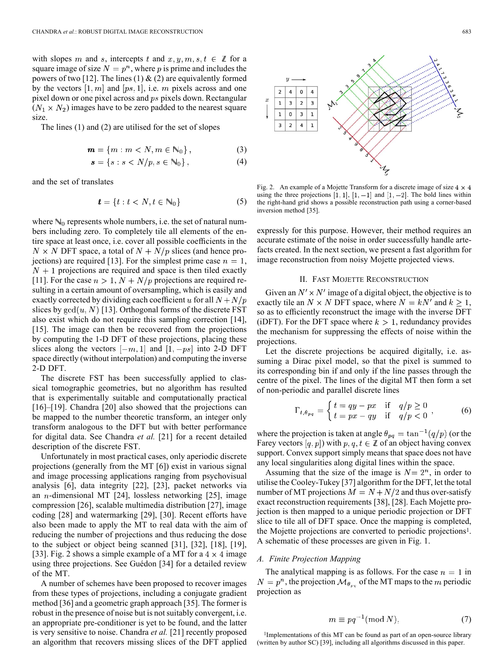with slopes m and s, intercepts t and  $x, y, m, s, t \in \mathbb{Z}$  for a square image of size  $N = p^n$ , where p is prime and includes the powers of two [12]. The lines (1)  $\&$  (2) are equivalently formed by the vectors  $[1, m]$  and  $[ps, 1]$ , i.e. m pixels across and one pixel down or one pixel across and  $ps$  pixels down. Rectangular  $(N_1 \times N_2)$  images have to be zero padded to the nearest square size.

The lines (1) and (2) are utilised for the set of slopes

$$
\mathbf{m} = \{m : m < N, m \in \mathbb{N}_0\},\tag{3}
$$

$$
\mathbf{s} = \{s : s < N/p, s \in \mathbb{N}_0\},\tag{4}
$$

and the set of translates

$$
\boldsymbol{t} = \{t : t < N, t \in \mathbb{N}_0\} \tag{5}
$$

where  $\mathbb{N}_0$  represents whole numbers, i.e. the set of natural numbers including zero. To completely tile all elements of the entire space at least once, i.e. cover all possible coefficients in the  $N \times N$  DFT space, a total of  $N + N/p$  slices (and hence projections) are required [13]. For the simplest prime case  $n = 1$ ,  $N+1$  projections are required and space is then tiled exactly [11]. For the case  $n > 1$ ,  $N + N/p$  projections are required resulting in a certain amount of oversampling, which is easily and exactly corrected by dividing each coefficient u for all  $N + N/p$ slices by  $gcd(u, N)$  [13]. Orthogonal forms of the discrete FST also exist which do not require this sampling correction [14], [15]. The image can then be recovered from the projections by computing the 1-D DFT of these projections, placing these slices along the vectors  $[-m, 1]$  and  $[1, -ps]$  into 2-D DFT space directly (without interpolation) and computing the inverse 2-D DFT.

The discrete FST has been successfully applied to classical tomographic geometries, but no algorithm has resulted that is experimentally suitable and computationally practical [16]–[19]. Chandra [20] also showed that the projections can be mapped to the number theoretic transform, an integer only transform analogous to the DFT but with better performance for digital data. See Chandra *et al.* [21] for a recent detailed description of the discrete FST.

Unfortunately in most practical cases, only aperiodic discrete projections (generally from the MT [6]) exist in various signal and image processing applications ranging from psychovisual analysis [6], data integrity [22], [23], packet networks via an  $n$ -dimensional MT [24], lossless networking [25], image compression [26], scalable multimedia distribution [27], image coding [28] and watermarking [29], [30]. Recent efforts have also been made to apply the MT to real data with the aim of reducing the number of projections and thus reducing the dose to the subject or object being scanned [31], [32], [18], [19], [33]. Fig. 2 shows a simple example of a MT for a  $4 \times 4$  image using three projections. See Guédon [34] for a detailed review of the MT.

A number of schemes have been proposed to recover images from these types of projections, including a conjugate gradient method [36] and a geometric graph approach [35]. The former is robust in the presence of noise but is not suitably convergent, i.e. an appropriate pre-conditioner is yet to be found, and the latter is very sensitive to noise. Chandra *et al.* [21] recently proposed an algorithm that recovers missing slices of the DFT applied



Fig. 2. An example of a Mojette Transform for a discrete image of size  $4 \times 4$ using the three projections  $[1, 1]$ ,  $[1, -1]$  and  $[1, -2]$ . The bold lines within the right-hand grid shows a possible reconstruction path using a corner-based inversion method [35].

expressly for this purpose. However, their method requires an accurate estimate of the noise in order successfully handle artefacts created. In the next section, we present a fast algorithm for image reconstruction from noisy Mojette projected views.

#### II. FAST MOJETTE RECONSTRUCTION

Given an  $N' \times N'$  image of a digital object, the objective is to exactly tile an  $N \times N$  DFT space, where  $N = kN'$  and  $k \ge 1$ , so as to efficiently reconstruct the image with the inverse DFT (iDFT). For the DFT space where  $k > 1$ , redundancy provides the mechanism for suppressing the effects of noise within the projections.

Let the discrete projections be acquired digitally, i.e. assuming a Dirac pixel model, so that the pixel is summed to its corresponding bin if and only if the line passes through the centre of the pixel. The lines of the digital MT then form a set of non-periodic and parallel discrete lines

$$
\Gamma_{t,\theta_{pq}} = \begin{cases} t = qy - px & \text{if } q/p \ge 0 \\ t = px - qy & \text{if } q/p < 0 \end{cases}, \tag{6}
$$

where the projection is taken at angle  $\theta_{pq} = \tan^{-1}(q/p)$  (or the Farey vectors  $[q, p]$ ) with  $p, q, t \in \mathbb{Z}$  of an object having convex support. Convex support simply means that space does not have any local singularities along digital lines within the space.

Assuming that the size of the image is  $N = 2<sup>n</sup>$ , in order to utilise the Cooley-Tukey [37] algorithm for the DFT, let the total number of MT projections  $M = N + N/2$  and thus over-satisfy exact reconstruction requirements [38], [28]. Each Mojette projection is then mapped to a unique periodic projection or DFT slice to tile all of DFT space. Once the mapping is completed, the Mojette projections are converted to periodic projections1. A schematic of these processes are given in Fig. 1.

#### *A. Finite Projection Mapping*

The analytical mapping is as follows. For the case  $n = 1$  in  $N = p^n$ , the projection  $\mathcal{M}_{\theta_{pq}}$  of the MT maps to the m periodic projection as

$$
m \equiv pq^{-1}(\text{mod } N),\tag{7}
$$

<sup>1</sup>Implementations of this MT can be found as part of an open-source library (written by author SC) [39], including all algorithms discussed in this paper.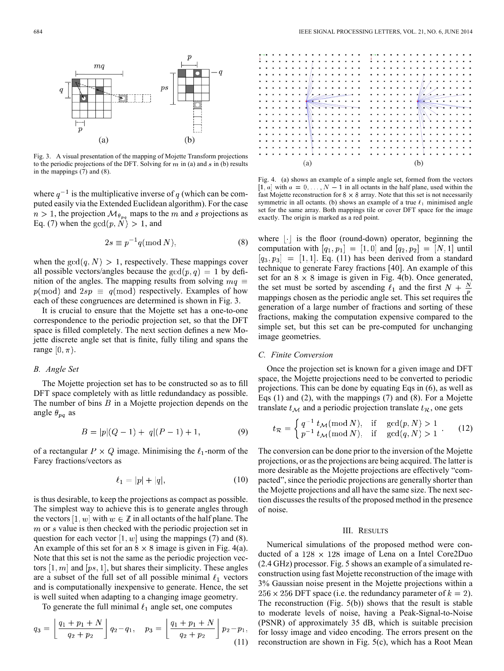

Fig. 3. A visual presentation of the mapping of Mojette Transform projections to the periodic projections of the DFT. Solving for  $m$  in (a) and  $s$  in (b) results in the mappings (7) and (8).

where  $q^{-1}$  is the multiplicative inverse of q (which can be computed easily via the Extended Euclidean algorithm). For the case  $n > 1$ , the projection  $\mathcal{M}_{\theta_{pq}}$  maps to the m and s projections as Eq. (7) when the  $gcd(p, N) > 1$ , and

$$
2s \equiv p^{-1}q \pmod{N},\tag{8}
$$

when the  $gcd(q, N) > 1$ , respectively. These mappings cover all possible vectors/angles because the  $gcd(p, q) = 1$  by definition of the angles. The mapping results from solving  $mq \equiv$  $p(\text{mod})$  and  $2sp \equiv q(\text{mod})$  respectively. Examples of how each of these congruences are determined is shown in Fig. 3.

It is crucial to ensure that the Mojette set has a one-to-one correspondence to the periodic projection set, so that the DFT space is filled completely. The next section defines a new Mojette discrete angle set that is finite, fully tiling and spans the range  $[0, \pi)$ .

### *B. Angle Set*

The Mojette projection set has to be constructed so as to fill DFT space completely with as little redundandacy as possible. The number of bins  $B$  in a Mojette projection depends on the angle  $\theta_{pq}$  as

$$
B = |p|(Q-1) + |q|(P-1) + 1,
$$
\n(9)

of a rectangular  $P \times Q$  image. Minimising the  $\ell_1$ -norm of the Farey fractions/vectors as

$$
\ell_1 = |p| + |q|,\tag{10}
$$

is thus desirable, to keep the projections as compact as possible. The simplest way to achieve this is to generate angles through the vectors  $[1, w]$  with  $w \in \mathbb{Z}$  in all octants of the half plane. The  $m$  or  $s$  value is then checked with the periodic projection set in question for each vector  $[1, w]$  using the mappings (7) and (8). An example of this set for an  $8 \times 8$  image is given in Fig. 4(a). Note that this set is not the same as the periodic projection vectors  $[1, m]$  and  $[ps, 1]$ , but shares their simplicity. These angles are a subset of the full set of all possible minimal  $\ell_1$  vectors and is computationally inexpensive to generate. Hence, the set is well suited when adapting to a changing image geometry.

To generate the full minimal  $\ell_1$  angle set, one computes

$$
q_3 = \left\lfloor \frac{q_1 + p_1 + N}{q_2 + p_2} \right\rfloor q_2 - q_1, \quad p_3 = \left\lfloor \frac{q_1 + p_1 + N}{q_2 + p_2} \right\rfloor p_2 - p_1,\tag{11}
$$

|  |  |            | $\cdot$ $\cdot$ |                                                 |  |                    |  |           |  |     |  |  |           | $\cdot$ .          |  |              |  |  |  |                      |  |         |
|--|--|------------|-----------------|-------------------------------------------------|--|--------------------|--|-----------|--|-----|--|--|-----------|--------------------|--|--------------|--|--|--|----------------------|--|---------|
|  |  |            | $\bullet$       |                                                 |  |                    |  |           |  |     |  |  |           | $\bullet$          |  |              |  |  |  |                      |  |         |
|  |  |            |                 | $\cdot$ $\cdot$ $\cdot$ $\cdot$ $\cdot$ $\cdot$ |  |                    |  |           |  |     |  |  | $\bullet$ | $\cdot$ // $\cdot$ |  | $\cdot$      |  |  |  |                      |  |         |
|  |  |            |                 |                                                 |  |                    |  |           |  |     |  |  |           |                    |  |              |  |  |  |                      |  |         |
|  |  |            |                 |                                                 |  | مستشيف مسعد مرادات |  |           |  |     |  |  |           |                    |  |              |  |  |  |                      |  |         |
|  |  |            |                 | $\overline{\phantom{a}}$                        |  |                    |  |           |  |     |  |  |           |                    |  |              |  |  |  |                      |  |         |
|  |  |            |                 | <u>reception of the second particle</u>         |  |                    |  |           |  |     |  |  |           |                    |  |              |  |  |  |                      |  |         |
|  |  |            |                 |                                                 |  |                    |  |           |  |     |  |  |           |                    |  |              |  |  |  |                      |  |         |
|  |  |            |                 |                                                 |  |                    |  | $\bullet$ |  |     |  |  |           |                    |  | $\mathbb{M}$ |  |  |  |                      |  |         |
|  |  |            |                 |                                                 |  |                    |  | $\bullet$ |  |     |  |  |           |                    |  |              |  |  |  |                      |  |         |
|  |  |            |                 |                                                 |  |                    |  |           |  |     |  |  |           |                    |  |              |  |  |  |                      |  |         |
|  |  | .          |                 |                                                 |  | .                  |  |           |  |     |  |  |           |                    |  | . <b>. .</b> |  |  |  | $\ddot{\phantom{0}}$ |  |         |
|  |  | .          |                 |                                                 |  | .                  |  | $\bullet$ |  |     |  |  |           |                    |  | . <b>.</b>   |  |  |  |                      |  | $\cdot$ |
|  |  | .          |                 | .                                               |  |                    |  |           |  |     |  |  |           |                    |  | . <b>.</b>   |  |  |  |                      |  | . .     |
|  |  |            |                 |                                                 |  |                    |  |           |  |     |  |  |           |                    |  |              |  |  |  |                      |  |         |
|  |  | . <b>.</b> |                 | .                                               |  |                    |  | $\bullet$ |  |     |  |  |           | $\cdots$           |  |              |  |  |  |                      |  |         |
|  |  |            |                 |                                                 |  |                    |  |           |  |     |  |  |           |                    |  |              |  |  |  |                      |  |         |
|  |  |            |                 |                                                 |  |                    |  |           |  |     |  |  |           |                    |  |              |  |  |  |                      |  |         |
|  |  |            | (a)             |                                                 |  |                    |  |           |  | (b) |  |  |           |                    |  |              |  |  |  |                      |  |         |
|  |  |            |                 |                                                 |  |                    |  |           |  |     |  |  |           |                    |  |              |  |  |  |                      |  |         |

Fig. 4. (a) shows an example of a simple angle set, formed from the vectors  $[1, a]$  with  $a = 0, \ldots, N - 1$  in all octants in the half plane, used within the fast Mojette reconstruction for  $8 \times 8$  array. Note that this set is not necessarily symmetric in all octants. (b) shows an example of a true  $\ell_1$  minimised angle set for the same array. Both mappings tile or cover DFT space for the image exactly. The origin is marked as a red point.

where  $\lvert \cdot \rvert$  is the floor (round-down) operator, beginning the computation with  $[q_1, p_1] = [1, 0]$  and  $[q_2, p_2] = [N, 1]$  until  $[q_3, p_3] = [1, 1]$ . Eq. (11) has been derived from a standard technique to generate Farey fractions [40]. An example of this set for an  $8 \times 8$  image is given in Fig. 4(b). Once generated, the set must be sorted by ascending  $\ell_1$  and the first  $N + \frac{N}{p}$ mappings chosen as the periodic angle set. This set requires the generation of a large number of fractions and sorting of these fractions, making the computation expensive compared to the simple set, but this set can be pre-computed for unchanging image geometries.

#### *C. Finite Conversion*

Once the projection set is known for a given image and DFT space, the Mojette projections need to be converted to periodic projections. This can be done by equating Eqs in (6), as well as Eqs (1) and (2), with the mappings (7) and (8). For a Mojette translate  $t_{\mathcal{M}}$  and a periodic projection translate  $t_{\mathcal{R}}$ , one gets

$$
t_{\mathcal{R}} = \begin{cases} q^{-1} t_{\mathcal{M}}(\text{mod } N), & \text{if } \gcd(p, N) > 1 \\ p^{-1} t_{\mathcal{M}}(\text{mod } N), & \text{if } \gcd(q, N) > 1 \end{cases} \tag{12}
$$

The conversion can be done prior to the inversion of the Mojette projections, or as the projections are being acquired. The latter is more desirable as the Mojette projections are effectively "compacted", since the periodic projections are generally shorter than the Mojette projections and all have the same size. The next section discusses the results of the proposed method in the presence of noise.

## III. RESULTS

Numerical simulations of the proposed method were conducted of a  $128 \times 128$  image of Lena on a Intel Core2Duo (2.4 GHz) processor. Fig. 5 shows an example of a simulated reconstruction using fast Mojette reconstruction of the image with 3% Gaussian noise present in the Mojette projections within a  $256 \times 256$  DFT space (i.e. the redundancy parameter of  $k = 2$ ). The reconstruction (Fig. 5(b)) shows that the result is stable to moderate levels of noise, having a Peak-Signal-to-Noise (PSNR) of approximately 35 dB, which is suitable precision for lossy image and video encoding. The errors present on the reconstruction are shown in Fig. 5(c), which has a Root Mean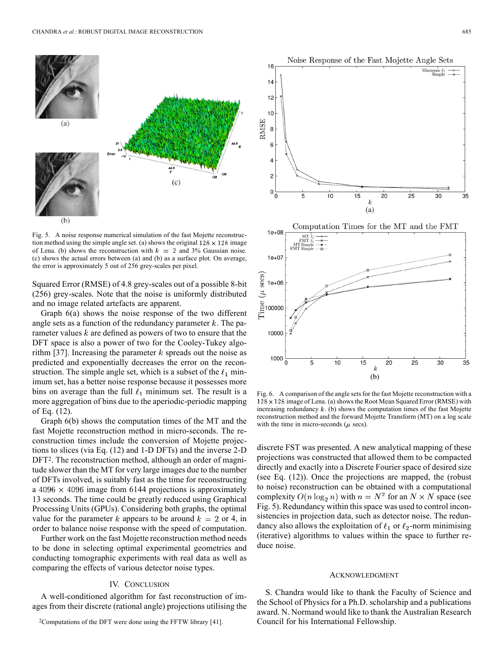

Fig. 5. A noise response numerical simulation of the fast Mojette reconstruction method using the simple angle set. (a) shows the original  $128 \times 128$  image of Lena. (b) shows the reconstruction with  $k = 2$  and 3% Gaussian noise. (c) shows the actual errors between (a) and (b) as a surface plot. On average, the error is approximately 5 out of 256 grey-scales per pixel.

Squared Error (RMSE) of 4.8 grey-scales out of a possible 8-bit (256) grey-scales. Note that the noise is uniformly distributed and no image related artefacts are apparent.

Graph 6(a) shows the noise response of the two different angle sets as a function of the redundancy parameter  $k$ . The parameter values  $k$  are defined as powers of two to ensure that the DFT space is also a power of two for the Cooley-Tukey algorithm [37]. Increasing the parameter  $k$  spreads out the noise as predicted and exponentially decreases the error on the reconstruction. The simple angle set, which is a subset of the  $\ell_1$  minimum set, has a better noise response because it possesses more bins on average than the full  $\ell_1$  minimum set. The result is a more aggregation of bins due to the aperiodic-periodic mapping of Eq. (12).

Graph 6(b) shows the computation times of the MT and the fast Mojette reconstruction method in micro-seconds. The reconstruction times include the conversion of Mojette projections to slices (via Eq. (12) and 1-D DFTs) and the inverse 2-D DFT<sup>2</sup>. The reconstruction method, although an order of magnitude slower than the MT for very large images due to the number of DFTs involved, is suitably fast as the time for reconstructing a  $4096 \times 4096$  image from 6144 projections is approximately 13 seconds. The time could be greatly reduced using Graphical Processing Units (GPUs). Considering both graphs, the optimal value for the parameter k appears to be around  $k = 2$  or 4, in order to balance noise response with the speed of computation.

Further work on the fast Mojette reconstruction method needs to be done in selecting optimal experimental geometries and conducting tomographic experiments with real data as well as comparing the effects of various detector noise types.

## IV. CONCLUSION

A well-conditioned algorithm for fast reconstruction of images from their discrete (rational angle) projections utilising the



Fig. 6. A comparison of the angle sets for the fast Mojette reconstruction with a  $128 \times 128$  image of Lena. (a) shows the Root Mean Squared Error (RMSE) with increasing redundancy  $k$ . (b) shows the computation times of the fast Mojette reconstruction method and the forward Mojette Transform (MT) on a log scale with the time in micro-seconds ( $\mu$  secs).

discrete FST was presented. A new analytical mapping of these projections was constructed that allowed them to be compacted directly and exactly into a Discrete Fourier space of desired size (see Eq. (12)). Once the projections are mapped, the (robust to noise) reconstruction can be obtained with a computational complexity  $O(n \log_2 n)$  with  $n = N^2$  for an  $N \times N$  space (see Fig. 5). Redundancy within this space was used to control inconsistencies in projection data, such as detector noise. The redundancy also allows the exploitation of  $\ell_1$  or  $\ell_2$ -norm minimising (iterative) algorithms to values within the space to further reduce noise.

#### ACKNOWLEDGMENT

S. Chandra would like to thank the Faculty of Science and the School of Physics for a Ph.D. scholarship and a publications award. N. Normand would like to thank the Australian Research Council for his International Fellowship.

<sup>2</sup>Computations of the DFT were done using the FFTW library [41].